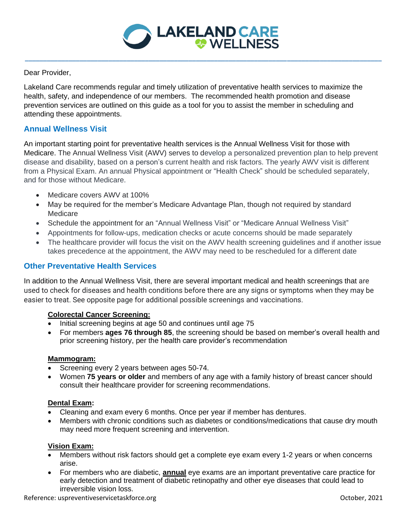

**\_\_\_\_\_\_\_\_\_\_\_\_\_\_\_\_\_\_\_\_\_\_\_\_\_\_\_\_\_\_\_\_\_\_\_\_\_\_\_\_\_\_\_\_\_\_\_\_\_\_\_\_\_\_\_\_\_\_\_\_\_\_\_\_\_\_\_\_\_\_\_\_\_\_\_\_\_\_\_\_\_\_\_\_\_\_\_\_\_\_\_\_\_\_\_\_\_\_**

Dear Provider,

Lakeland Care recommends regular and timely utilization of preventative health services to maximize the health, safety, and independence of our members. The recommended health promotion and disease prevention services are outlined on this guide as a tool for you to assist the member in scheduling and attending these appointments.

## **Annual Wellness Visit**

An important starting point for preventative health services is the Annual Wellness Visit for those with Medicare. The Annual Wellness Visit (AWV) serves to develop a personalized prevention plan to help prevent disease and disability, based on a person's current health and risk factors. The yearly AWV visit is different from a Physical Exam. An annual Physical appointment or "Health Check" should be scheduled separately, and for those without Medicare.

- Medicare covers AWV at 100%
- May be required for the member's Medicare Advantage Plan, though not required by standard Medicare
- Schedule the appointment for an "Annual Wellness Visit" or "Medicare Annual Wellness Visit"
- Appointments for follow-ups, medication checks or acute concerns should be made separately
- The healthcare provider will focus the visit on the AWV health screening guidelines and if another issue takes precedence at the appointment, the AWV may need to be rescheduled for a different date

## **Other Preventative Health Services**

In addition to the Annual Wellness Visit, there are several important medical and health screenings that are used to check for diseases and health conditions before there are any signs or symptoms when they may be easier to treat. See opposite page for additional possible screenings and vaccinations.

## **Colorectal Cancer Screening:**

- Initial screening begins at age 50 and continues until age 75
- For members **ages 76 through 85**, the screening should be based on member's overall health and prior screening history, per the health care provider's recommendation

#### **Mammogram:**

- Screening every 2 years between ages 50-74.
- Women **75 years or older** and members of any age with a family history of breast cancer should consult their healthcare provider for screening recommendations.

#### **Dental Exam:**

- Cleaning and exam every 6 months. Once per year if member has dentures.
- Members with chronic conditions such as diabetes or conditions/medications that cause dry mouth may need more frequent screening and intervention.

#### **Vision Exam:**

- Members without risk factors should get a complete eye exam every 1-2 years or when concerns arise.
- For members who are diabetic, **annual** eye exams are an important preventative care practice for early detection and treatment of diabetic retinopathy and other eye diseases that could lead to irreversible vision loss.